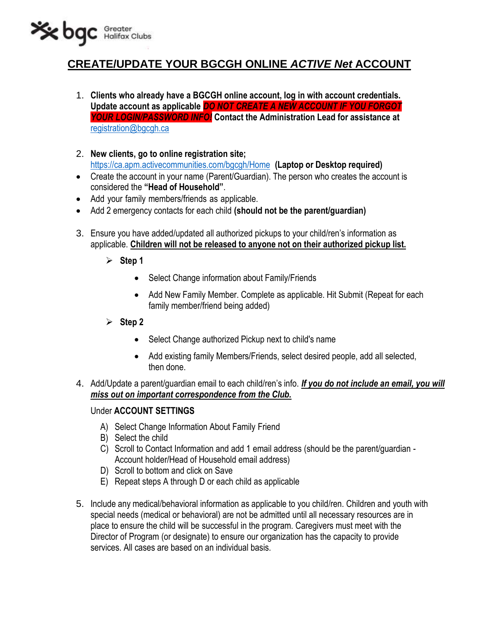

# **CREATE/UPDATE YOUR BGCGH ONLINE** *ACTIVE Net* **ACCOUNT**

- 1. **Clients who already have a BGCGH online account, log in with account credentials. Update account as applicable** *DO NOT CREATE A NEW ACCOUNT IF YOU FORGOT YOUR LOGIN/PASSWORD INFO!* **Contact the Administration Lead for assistance at** [registration@bgcgh.ca](mailto:registration@bgcgh.ca)
- 2. **New clients, go to online registration site;** <https://ca.apm.activecommunities.com/bgcgh/Home> **(Laptop or Desktop required)**
- Create the account in your name (Parent/Guardian). The person who creates the account is considered the **"Head of Household"**.
- Add your family members/friends as applicable.
- Add 2 emergency contacts for each child **(should not be the parent/guardian)**
- 3. Ensure you have added/updated all authorized pickups to your child/ren's information as applicable. **Children will not be released to anyone not on their authorized pickup list.**
	- $\triangleright$  Step 1
		- Select Change information about Family/Friends
		- Add New Family Member. Complete as applicable. Hit Submit (Repeat for each family member/friend being added)
	- **Step 2**
		- Select Change authorized Pickup next to child's name
		- Add existing family Members/Friends, select desired people, add all selected, then done.
- 4. Add/Update a parent/guardian email to each child/ren's info. *If you do not include an email, you will miss out on important correspondence from the Club.*

#### Under **ACCOUNT SETTINGS**

- A) Select Change Information About Family Friend
- B) Select the child
- C) Scroll to Contact Information and add 1 email address (should be the parent/guardian Account holder/Head of Household email address)
- D) Scroll to bottom and click on Save
- E) Repeat steps A through D or each child as applicable
- 5. Include any medical/behavioral information as applicable to you child/ren. Children and youth with special needs (medical or behavioral) are not be admitted until all necessary resources are in place to ensure the child will be successful in the program. Caregivers must meet with the Director of Program (or designate) to ensure our organization has the capacity to provide services. All cases are based on an individual basis.